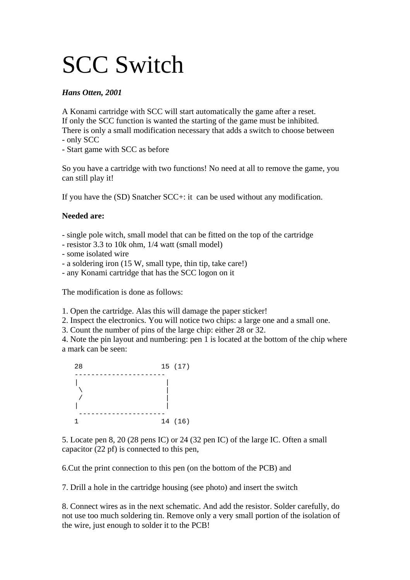## SCC Switch

## *Hans Otten, 2001*

A Konami cartridge with SCC will start automatically the game after a reset. If only the SCC function is wanted the starting of the game must be inhibited. There is only a small modification necessary that adds a switch to choose between - only SCC

- Start game with SCC as before

So you have a cartridge with two functions! No need at all to remove the game, you can still play it!

If you have the (SD) Snatcher SCC+: it can be used without any modification.

## **Needed are:**

- single pole witch, small model that can be fitted on the top of the cartridge

- resistor 3.3 to 10k ohm, 1/4 watt (small model)
- some isolated wire
- a soldering iron (15 W, small type, thin tip, take care!)
- any Konami cartridge that has the SCC logon on it

The modification is done as follows:

1. Open the cartridge. Alas this will damage the paper sticker!

2. Inspect the electronics. You will notice two chips: a large one and a small one.

3. Count the number of pins of the large chip: either 28 or 32.

4. Note the pin layout and numbering: pen 1 is located at the bottom of the chip where a mark can be seen:



5. Locate pen 8, 20 (28 pens IC) or 24 (32 pen IC) of the large IC. Often a small capacitor (22 pf) is connected to this pen,

6.Cut the print connection to this pen (on the bottom of the PCB) and

7. Drill a hole in the cartridge housing (see photo) and insert the switch

8. Connect wires as in the next schematic. And add the resistor. Solder carefully, do not use too much soldering tin. Remove only a very small portion of the isolation of the wire, just enough to solder it to the PCB!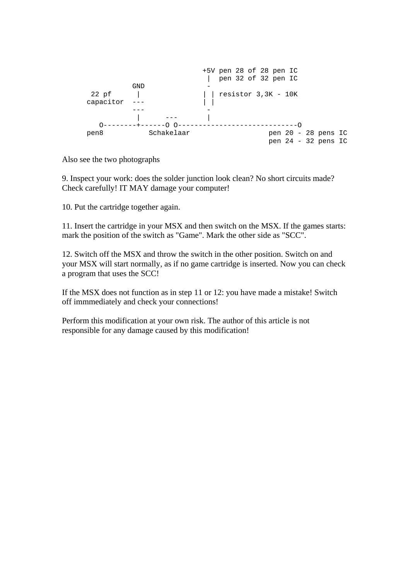

Also see the two photographs

9. Inspect your work: does the solder junction look clean? No short circuits made? Check carefully! IT MAY damage your computer!

10. Put the cartridge together again.

11. Insert the cartridge in your MSX and then switch on the MSX. If the games starts: mark the position of the switch as "Game". Mark the other side as "SCC".

12. Switch off the MSX and throw the switch in the other position. Switch on and your MSX will start normally, as if no game cartridge is inserted. Now you can check a program that uses the SCC!

If the MSX does not function as in step 11 or 12: you have made a mistake! Switch off immmediately and check your connections!

Perform this modification at your own risk. The author of this article is not responsible for any damage caused by this modification!